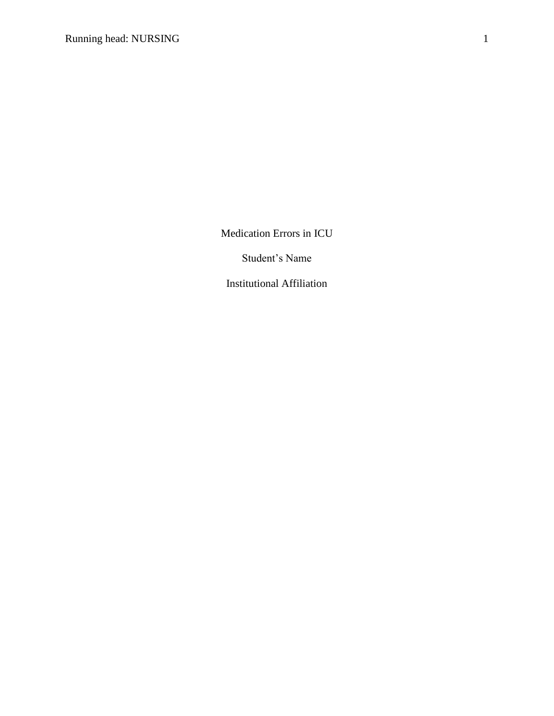Medication Errors in ICU

Student's Name

Institutional Affiliation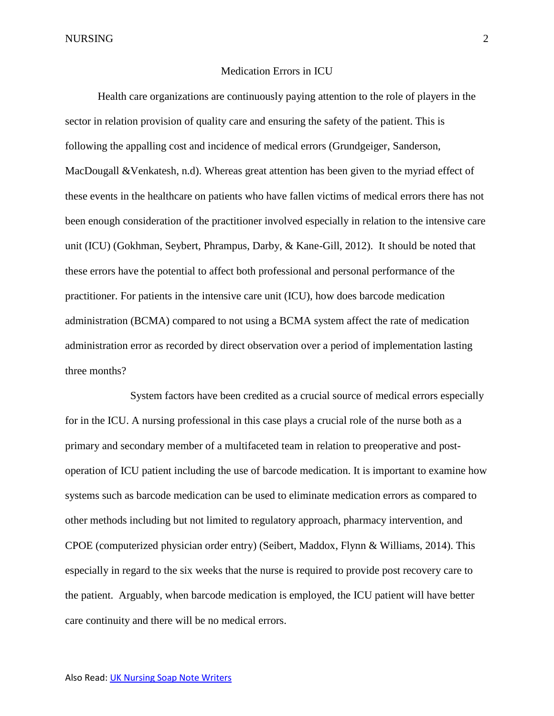NURSING 2

### Medication Errors in ICU

Health care organizations are continuously paying attention to the role of players in the sector in relation provision of quality care and ensuring the safety of the patient. This is following the appalling cost and incidence of medical errors (Grundgeiger, Sanderson, MacDougall &Venkatesh, n.d). Whereas great attention has been given to the myriad effect of these events in the healthcare on patients who have fallen victims of medical errors there has not been enough consideration of the practitioner involved especially in relation to the intensive care unit (ICU) (Gokhman, Seybert, Phrampus, Darby, & Kane-Gill, 2012). It should be noted that these errors have the potential to affect both professional and personal performance of the practitioner. For patients in the intensive care unit (ICU), how does barcode medication administration (BCMA) compared to not using a BCMA system affect the rate of medication administration error as recorded by direct observation over a period of implementation lasting three months?

System factors have been credited as a crucial source of medical errors especially for in the ICU. A nursing professional in this case plays a crucial role of the nurse both as a primary and secondary member of a multifaceted team in relation to preoperative and postoperation of ICU patient including the use of barcode medication. It is important to examine how systems such as barcode medication can be used to eliminate medication errors as compared to other methods including but not limited to regulatory approach, pharmacy intervention, and CPOE (computerized physician order entry) (Seibert, Maddox, Flynn & Williams, 2014). This especially in regard to the six weeks that the nurse is required to provide post recovery care to the patient. Arguably, when barcode medication is employed, the ICU patient will have better care continuity and there will be no medical errors.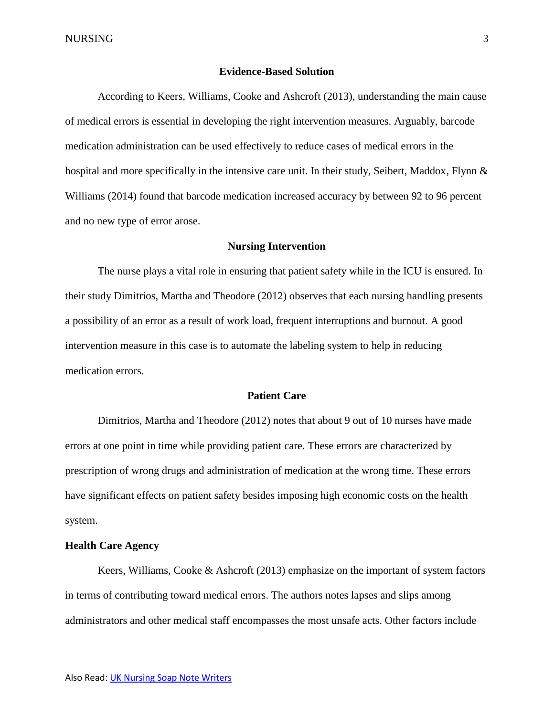### **Evidence-Based Solution**

According to Keers, Williams, Cooke and Ashcroft (2013), understanding the main cause of medical errors is essential in developing the right intervention measures. Arguably, barcode medication administration can be used effectively to reduce cases of medical errors in the hospital and more specifically in the intensive care unit. In their study, Seibert, Maddox, Flynn & Williams (2014) found that barcode medication increased accuracy by between 92 to 96 percent and no new type of error arose.

### **Nursing Intervention**

The nurse plays a vital role in ensuring that patient safety while in the ICU is ensured. In their study Dimitrios, Martha and Theodore (2012) observes that each nursing handling presents a possibility of an error as a result of work load, frequent interruptions and burnout. A good intervention measure in this case is to automate the labeling system to help in reducing medication errors.

### **Patient Care**

Dimitrios, Martha and Theodore (2012) notes that about 9 out of 10 nurses have made errors at one point in time while providing patient care. These errors are characterized by prescription of wrong drugs and administration of medication at the wrong time. These errors have significant effects on patient safety besides imposing high economic costs on the health system.

## **Health Care Agency**

Keers, Williams, Cooke & Ashcroft (2013) emphasize on the important of system factors in terms of contributing toward medical errors. The authors notes lapses and slips among administrators and other medical staff encompasses the most unsafe acts. Other factors include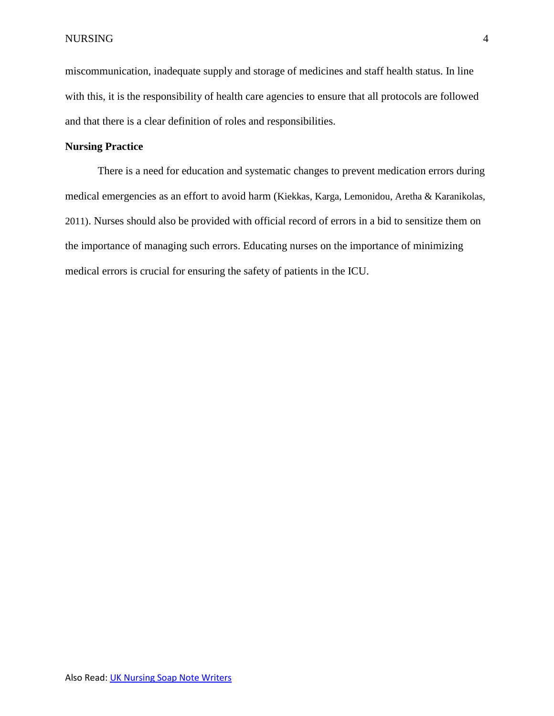miscommunication, inadequate supply and storage of medicines and staff health status. In line with this, it is the responsibility of health care agencies to ensure that all protocols are followed and that there is a clear definition of roles and responsibilities.

# **Nursing Practice**

There is a need for education and systematic changes to prevent medication errors during medical emergencies as an effort to avoid harm (Kiekkas, Karga, Lemonidou, Aretha & Karanikolas, 2011). Nurses should also be provided with official record of errors in a bid to sensitize them on the importance of managing such errors. Educating nurses on the importance of minimizing medical errors is crucial for ensuring the safety of patients in the ICU.